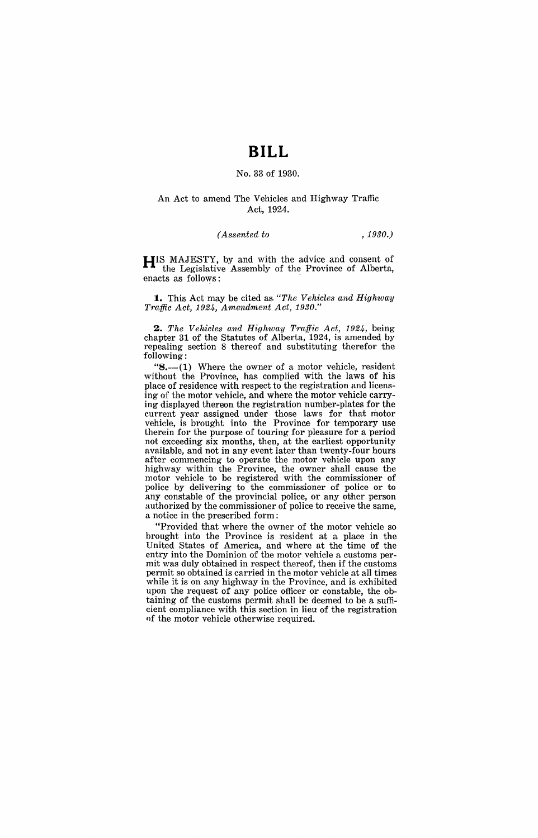# **BILL**

#### No. 33 of 1930.

#### An Act to amend The Vehicles and Highway Traffic Act, 1924.

#### *(Assented to ,1930.)*

**HIS** MAJESTY, by and with the advice and consent of the Legislative Assembly of the Province of Alberta, enacts as follows:

**1.** This Act may be cited as, *"The Vehicles and Highway Traffic Act,* 1924, *Amendment Act, 1930."* 

*2. The Vehicles and Highway Traffic Act,* 1924, being chapter 31 of the Statutes of Alberta, 1924, is amended by repealing section 8 thereof and substituting therefor the following:

" $8 - (1)$  Where the owner of a motor vehicle, resident without the Province, has complied with the laws of his place of residence with respect to the registration and licensing of the motor vehicle, and where the motor vehicle carrying displayed thereon the registration number-plates for the current year assigned under those laws for that motor vehicle, is brought into the Province for temporary use therein for the purpose of touring for pleasure for a period not exceeding six months, then, at the earliest opportunity available, and not in any event later than twenty-four hours after commencing to operate the motor vehicle upon any highway within· the Province, the owner shall cause the motor vehicle to be registered with the commissioner of police by delivering to the commissioner of police or to any constable of the provincial police, or any other person authorized by the commissioner of police to receive the same, a notice in the prescribed form:

"Provided that where the owner of the motor vehicle so brought into the Province is resident at a place in the United States of America, and where at the time of the entry into the Dominion of the motor vehicle a customs permit was duly obtained in respect thereof, then if the customs permit so obtained is carried in the motor vehicle at all times while it is on any highway in the Province, and is exhibited upon the request of any police officer or constable, the obtaining of the customs permit shall be deemed to be a sufficient compliance with this section in lieu of the registration of the motor vehicle otherwise required.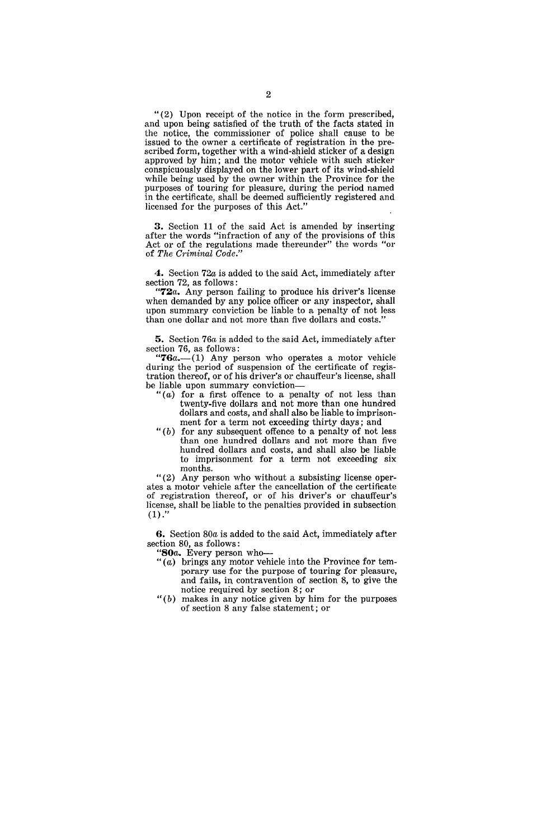"(2) Upon receipt of the notice in the form prescribed, and upon being satisfied of the truth of the facts stated in the notice, the commissioner of police shall cause to be issued to the owner a certificate of registration in the prescribed form, together with a wind-shield sticker of a design approved by him; and the motor vehicle with such sticker conspicuously displayed on the lower part of its wind-shield while being used by the owner within the Province for the purposes of touring for pleasure, during the period named in the certificate, shall be deemed sufficiently registered and licensed for the purposes of this Act."

3. Section 11 of the said Act is amended by inserting after the words "infraction of any of the provisions of this Act or of the regulations made thereunder" the words "or of *The Criminal Code."* 

4. Section 72a is added to the said Act, immediately after section 72, as follows:

*"72a.* Any person failing to produce his driver's license when demanded by any police officer or any inspector, shall upon summary conviction be liable to a penalty of not less than one dollar and not more than five dollars and costs."

5. Section *76a* is added to the said Act, immediately after section 76, as follows:

*"76a.-(1)* Any person who operates a motor vehicle during the period of suspension of the certificate of registration thereof, or of his driver's or chauffeur's license, shall be liable upon summary conviction-

- "(a) for a first offence to a penalty of not less than twenty-five dollars and not more than one hundred dollars and costs, and'shall also be liable to imprisonment for a term not exceeding thirty days; and
- " $(b)$  for any subsequent offence to a penalty of not less than one hundred dollars and not more than five hundred dollars and costs, and shall also be liable to imprisonment for a term not exceeding six months.

"(2) Any person who without a subsisting license operates a motor vehicle after the cancellation of the certificate of registration thereof, or of his driver's or chauffeur's license, shall be liable to the penalties provided in subsection  $(1)."$ 

6. Section *80a* is added to the said Act, immediately after section 80, as follows:

- *"80a.* Every person who-
- "(a) brings any motor vehicle into the Province for temporary use for the purpose of touring for pleasure, and fails, in. contravention of section 8, to give the notice required by section 8: or
- " $(b)$  makes in any notice given by him for the purposes of section 8 any false statement; or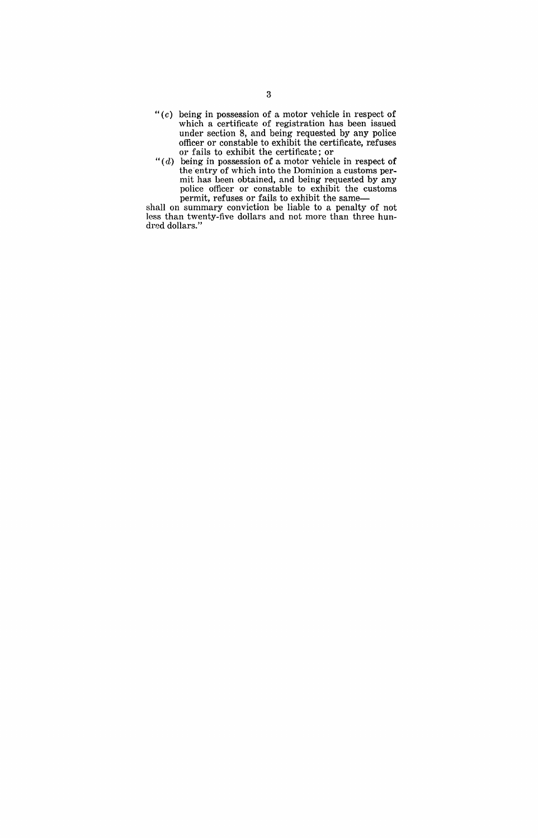- " $(c)$  being in possession of a motor vehicle in respect of which a certificate of registration has been issued under section 8, and being requested by any police officer or constable to exhibit the certificate, refuses or fails to exhibit the certificate; or
- " $(d)$  being in possession of a motor vehicle in respect of the entry of which into the Dominion a customs permit has heen obtained, and being requested by any police officer or constable to exhibit the customs permit, refuses or fails to exhibit the same-

shall on summary conviction be liable to a penalty of not less than twenty-five dollars and not more than three hundred dollars."